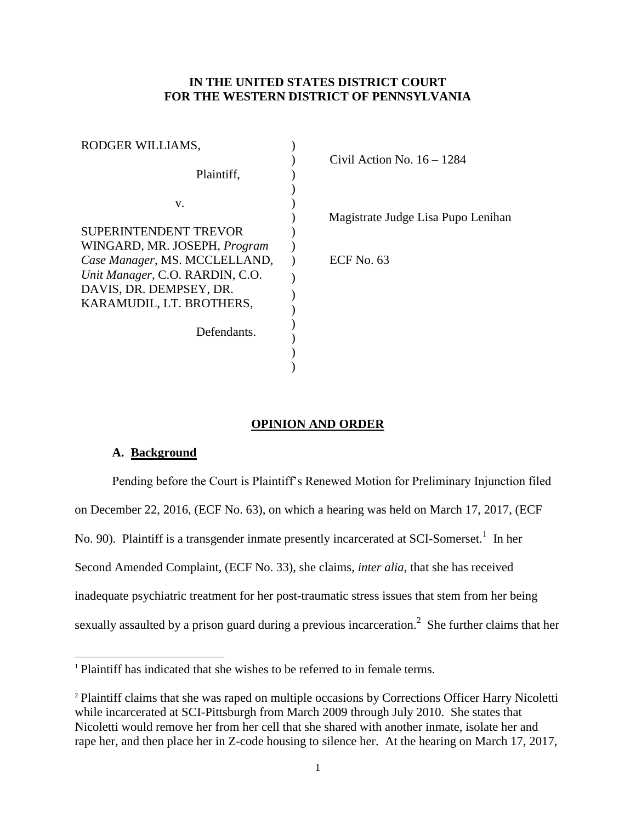## **IN THE UNITED STATES DISTRICT COURT FOR THE WESTERN DISTRICT OF PENNSYLVANIA**

| RODGER WILLIAMS,                    |                                    |
|-------------------------------------|------------------------------------|
| Plaintiff,                          | Civil Action No. $16 - 1284$       |
| V.                                  |                                    |
|                                     | Magistrate Judge Lisa Pupo Lenihan |
| <b>SUPERINTENDENT TREVOR</b>        |                                    |
| WINGARD, MR. JOSEPH, <i>Program</i> |                                    |
| Case Manager, MS. MCCLELLAND,       | ECF No. $63$                       |
| Unit Manager, C.O. RARDIN, C.O.     |                                    |
| DAVIS, DR. DEMPSEY, DR.             |                                    |
| KARAMUDIL, LT. BROTHERS,            |                                    |
|                                     |                                    |
| Defendants.                         |                                    |
|                                     |                                    |
|                                     |                                    |
|                                     |                                    |

# **OPINION AND ORDER**

## **A. Background**

l

Pending before the Court is Plaintiff's Renewed Motion for Preliminary Injunction filed on December 22, 2016, (ECF No. 63), on which a hearing was held on March 17, 2017, (ECF No. 90). Plaintiff is a transgender inmate presently incarcerated at SCI-Somerset.<sup>1</sup> In her Second Amended Complaint, (ECF No. 33), she claims, *inter alia*, that she has received inadequate psychiatric treatment for her post-traumatic stress issues that stem from her being sexually assaulted by a prison guard during a previous incarceration.<sup>2</sup> She further claims that her

<sup>&</sup>lt;sup>1</sup> Plaintiff has indicated that she wishes to be referred to in female terms.

<sup>&</sup>lt;sup>2</sup> Plaintiff claims that she was raped on multiple occasions by Corrections Officer Harry Nicoletti while incarcerated at SCI-Pittsburgh from March 2009 through July 2010. She states that Nicoletti would remove her from her cell that she shared with another inmate, isolate her and rape her, and then place her in Z-code housing to silence her. At the hearing on March 17, 2017,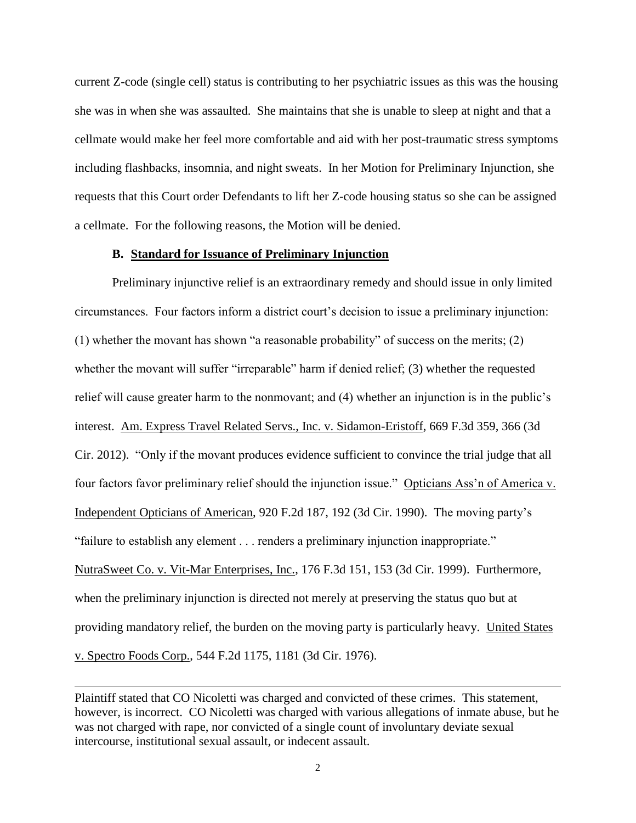current Z-code (single cell) status is contributing to her psychiatric issues as this was the housing she was in when she was assaulted. She maintains that she is unable to sleep at night and that a cellmate would make her feel more comfortable and aid with her post-traumatic stress symptoms including flashbacks, insomnia, and night sweats. In her Motion for Preliminary Injunction, she requests that this Court order Defendants to lift her Z-code housing status so she can be assigned a cellmate. For the following reasons, the Motion will be denied.

#### **B. Standard for Issuance of Preliminary Injunction**

Preliminary injunctive relief is an extraordinary remedy and should issue in only limited circumstances. Four factors inform a district court's decision to issue a preliminary injunction: (1) whether the movant has shown "a reasonable probability" of success on the merits; (2) whether the movant will suffer "irreparable" harm if denied relief; (3) whether the requested relief will cause greater harm to the nonmovant; and (4) whether an injunction is in the public's interest. Am. Express Travel Related Servs., Inc. v. Sidamon-Eristoff, 669 F.3d 359, 366 (3d Cir. 2012). "Only if the movant produces evidence sufficient to convince the trial judge that all four factors favor preliminary relief should the injunction issue." Opticians Ass'n of America v. Independent Opticians of American, 920 F.2d 187, 192 (3d Cir. 1990). The moving party's "failure to establish any element . . . renders a preliminary injunction inappropriate." NutraSweet Co. v. Vit-Mar Enterprises, Inc., 176 F.3d 151, 153 (3d Cir. 1999). Furthermore, when the preliminary injunction is directed not merely at preserving the status quo but at providing mandatory relief, the burden on the moving party is particularly heavy. United States v. Spectro Foods Corp., 544 F.2d 1175, 1181 (3d Cir. 1976).

 $\overline{a}$ 

Plaintiff stated that CO Nicoletti was charged and convicted of these crimes. This statement, however, is incorrect. CO Nicoletti was charged with various allegations of inmate abuse, but he was not charged with rape, nor convicted of a single count of involuntary deviate sexual intercourse, institutional sexual assault, or indecent assault.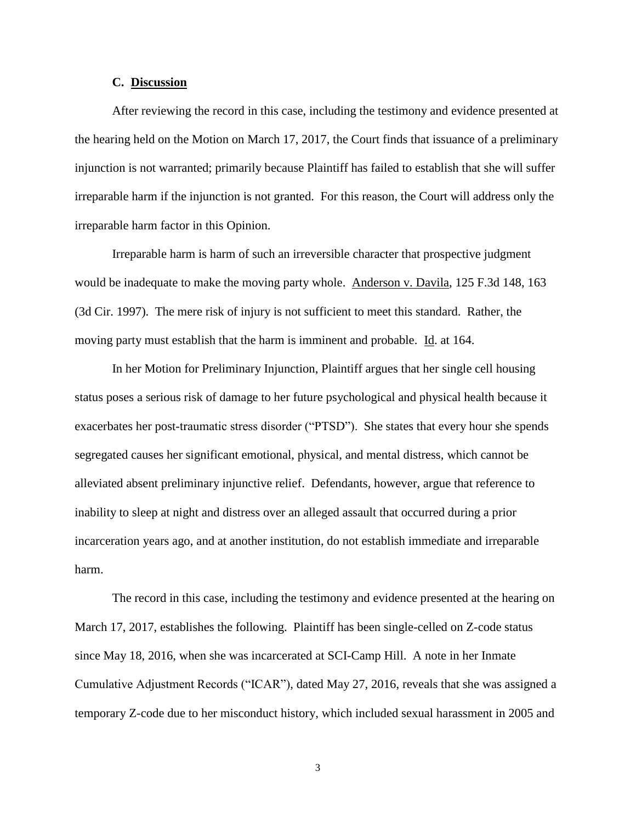### **C. Discussion**

After reviewing the record in this case, including the testimony and evidence presented at the hearing held on the Motion on March 17, 2017, the Court finds that issuance of a preliminary injunction is not warranted; primarily because Plaintiff has failed to establish that she will suffer irreparable harm if the injunction is not granted. For this reason, the Court will address only the irreparable harm factor in this Opinion.

Irreparable harm is harm of such an irreversible character that prospective judgment would be inadequate to make the moving party whole. Anderson v. Davila, 125 F.3d 148, 163 (3d Cir. 1997). The mere risk of injury is not sufficient to meet this standard. Rather, the moving party must establish that the harm is imminent and probable. Id. at 164.

In her Motion for Preliminary Injunction, Plaintiff argues that her single cell housing status poses a serious risk of damage to her future psychological and physical health because it exacerbates her post-traumatic stress disorder ("PTSD"). She states that every hour she spends segregated causes her significant emotional, physical, and mental distress, which cannot be alleviated absent preliminary injunctive relief. Defendants, however, argue that reference to inability to sleep at night and distress over an alleged assault that occurred during a prior incarceration years ago, and at another institution, do not establish immediate and irreparable harm.

The record in this case, including the testimony and evidence presented at the hearing on March 17, 2017, establishes the following. Plaintiff has been single-celled on Z-code status since May 18, 2016, when she was incarcerated at SCI-Camp Hill. A note in her Inmate Cumulative Adjustment Records ("ICAR"), dated May 27, 2016, reveals that she was assigned a temporary Z-code due to her misconduct history, which included sexual harassment in 2005 and

3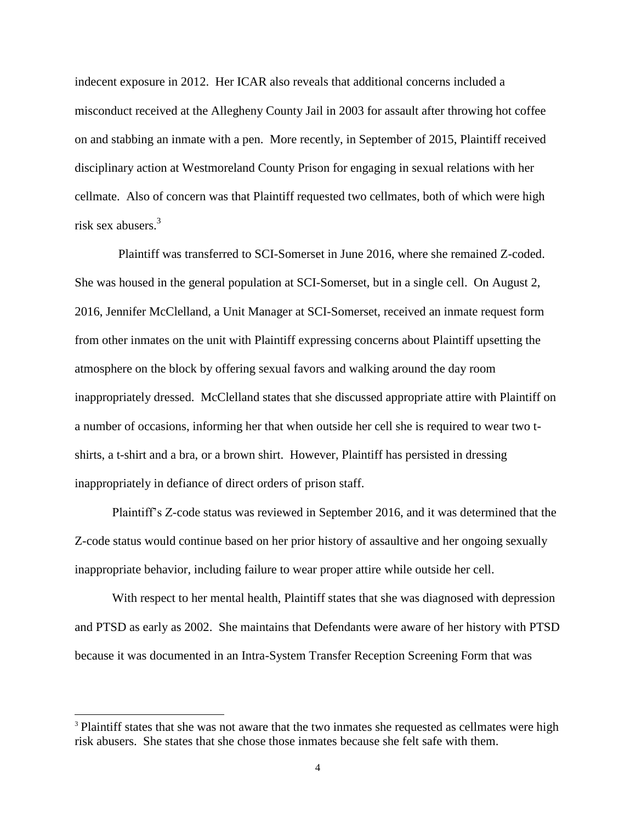indecent exposure in 2012. Her ICAR also reveals that additional concerns included a misconduct received at the Allegheny County Jail in 2003 for assault after throwing hot coffee on and stabbing an inmate with a pen. More recently, in September of 2015, Plaintiff received disciplinary action at Westmoreland County Prison for engaging in sexual relations with her cellmate. Also of concern was that Plaintiff requested two cellmates, both of which were high risk sex abusers.<sup>3</sup>

 Plaintiff was transferred to SCI-Somerset in June 2016, where she remained Z-coded. She was housed in the general population at SCI-Somerset, but in a single cell. On August 2, 2016, Jennifer McClelland, a Unit Manager at SCI-Somerset, received an inmate request form from other inmates on the unit with Plaintiff expressing concerns about Plaintiff upsetting the atmosphere on the block by offering sexual favors and walking around the day room inappropriately dressed. McClelland states that she discussed appropriate attire with Plaintiff on a number of occasions, informing her that when outside her cell she is required to wear two tshirts, a t-shirt and a bra, or a brown shirt. However, Plaintiff has persisted in dressing inappropriately in defiance of direct orders of prison staff.

Plaintiff's Z-code status was reviewed in September 2016, and it was determined that the Z-code status would continue based on her prior history of assaultive and her ongoing sexually inappropriate behavior, including failure to wear proper attire while outside her cell.

With respect to her mental health, Plaintiff states that she was diagnosed with depression and PTSD as early as 2002. She maintains that Defendants were aware of her history with PTSD because it was documented in an Intra-System Transfer Reception Screening Form that was

 $\overline{a}$ 

<sup>&</sup>lt;sup>3</sup> Plaintiff states that she was not aware that the two inmates she requested as cellmates were high risk abusers. She states that she chose those inmates because she felt safe with them.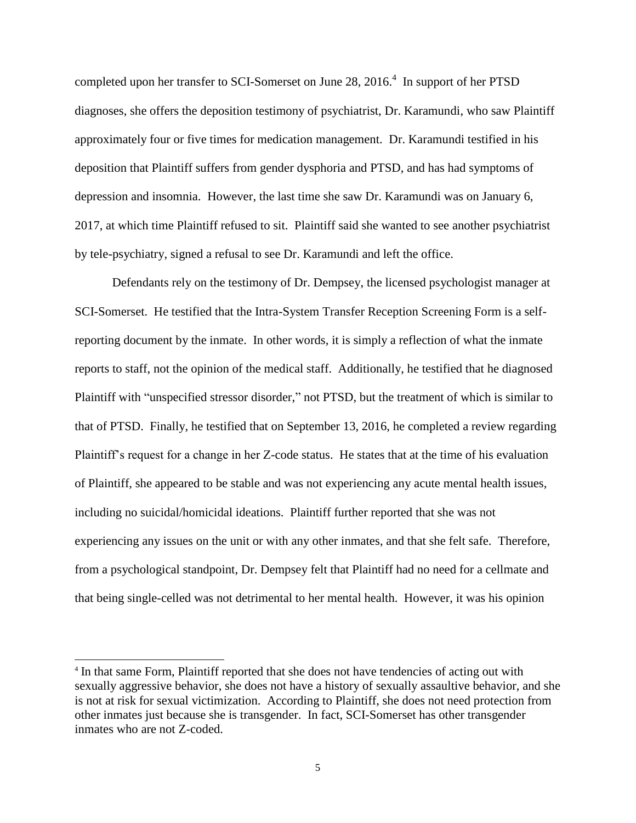completed upon her transfer to SCI-Somerset on June 28, 2016. $4\,$  In support of her PTSD diagnoses, she offers the deposition testimony of psychiatrist, Dr. Karamundi, who saw Plaintiff approximately four or five times for medication management. Dr. Karamundi testified in his deposition that Plaintiff suffers from gender dysphoria and PTSD, and has had symptoms of depression and insomnia. However, the last time she saw Dr. Karamundi was on January 6, 2017, at which time Plaintiff refused to sit. Plaintiff said she wanted to see another psychiatrist by tele-psychiatry, signed a refusal to see Dr. Karamundi and left the office.

Defendants rely on the testimony of Dr. Dempsey, the licensed psychologist manager at SCI-Somerset. He testified that the Intra-System Transfer Reception Screening Form is a selfreporting document by the inmate. In other words, it is simply a reflection of what the inmate reports to staff, not the opinion of the medical staff. Additionally, he testified that he diagnosed Plaintiff with "unspecified stressor disorder," not PTSD, but the treatment of which is similar to that of PTSD. Finally, he testified that on September 13, 2016, he completed a review regarding Plaintiff's request for a change in her Z-code status. He states that at the time of his evaluation of Plaintiff, she appeared to be stable and was not experiencing any acute mental health issues, including no suicidal/homicidal ideations. Plaintiff further reported that she was not experiencing any issues on the unit or with any other inmates, and that she felt safe. Therefore, from a psychological standpoint, Dr. Dempsey felt that Plaintiff had no need for a cellmate and that being single-celled was not detrimental to her mental health. However, it was his opinion

 $\overline{a}$ 

<sup>&</sup>lt;sup>4</sup> In that same Form, Plaintiff reported that she does not have tendencies of acting out with sexually aggressive behavior, she does not have a history of sexually assaultive behavior, and she is not at risk for sexual victimization. According to Plaintiff, she does not need protection from other inmates just because she is transgender. In fact, SCI-Somerset has other transgender inmates who are not Z-coded.